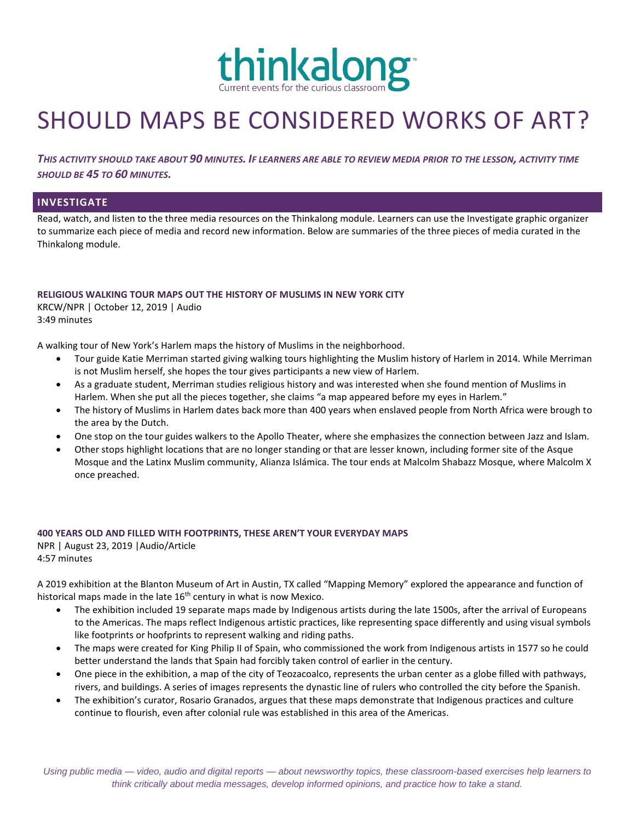

# SHOULD MAPS BE CONSIDERED WORKS OF ART?

*THIS ACTIVITY SHOULD TAKE ABOUT 90 MINUTES. IF LEARNERS ARE ABLE TO REVIEW MEDIA PRIOR TO THE LESSON, ACTIVITY TIME SHOULD BE 45 TO 60 MINUTES.*

## **INVESTIGATE**

Read, watch, and listen to the three media resources on the Thinkalong module. Learners can use the Investigate graphic organizer to summarize each piece of media and record new information. Below are summaries of the three pieces of media curated in the Thinkalong module.

#### **RELIGIOUS WALKING TOUR MAPS OUT THE HISTORY OF MUSLIMS IN NEW YORK CITY**

KRCW/NPR | October 12, 2019 | Audio 3:49 minutes

A walking tour of New York's Harlem maps the history of Muslims in the neighborhood.

- Tour guide Katie Merriman started giving walking tours highlighting the Muslim history of Harlem in 2014. While Merriman is not Muslim herself, she hopes the tour gives participants a new view of Harlem.
- As a graduate student, Merriman studies religious history and was interested when she found mention of Muslims in Harlem. When she put all the pieces together, she claims "a map appeared before my eyes in Harlem."
- The history of Muslims in Harlem dates back more than 400 years when enslaved people from North Africa were brough to the area by the Dutch.
- One stop on the tour guides walkers to the Apollo Theater, where she emphasizes the connection between Jazz and Islam.
- Other stops highlight locations that are no longer standing or that are lesser known, including former site of the Asque Mosque and the Latinx Muslim community, Alianza Islámica. The tour ends at Malcolm Shabazz Mosque, where Malcolm X once preached.

## **400 YEARS OLD AND FILLED WITH FOOTPRINTS, THESE AREN'T YOUR EVERYDAY MAPS**

NPR | August 23, 2019 |Audio/Article 4:57 minutes

A 2019 exhibition at the Blanton Museum of Art in Austin, TX called "Mapping Memory" explored the appearance and function of historical maps made in the late  $16<sup>th</sup>$  century in what is now Mexico.

- The exhibition included 19 separate maps made by Indigenous artists during the late 1500s, after the arrival of Europeans to the Americas. The maps reflect Indigenous artistic practices, like representing space differently and using visual symbols like footprints or hoofprints to represent walking and riding paths.
- The maps were created for King Philip II of Spain, who commissioned the work from Indigenous artists in 1577 so he could better understand the lands that Spain had forcibly taken control of earlier in the century.
- One piece in the exhibition, a map of the city of Teozacoalco, represents the urban center as a globe filled with pathways, rivers, and buildings. A series of images represents the dynastic line of rulers who controlled the city before the Spanish.
- The exhibition's curator, Rosario Granados, argues that these maps demonstrate that Indigenous practices and culture continue to flourish, even after colonial rule was established in this area of the Americas.